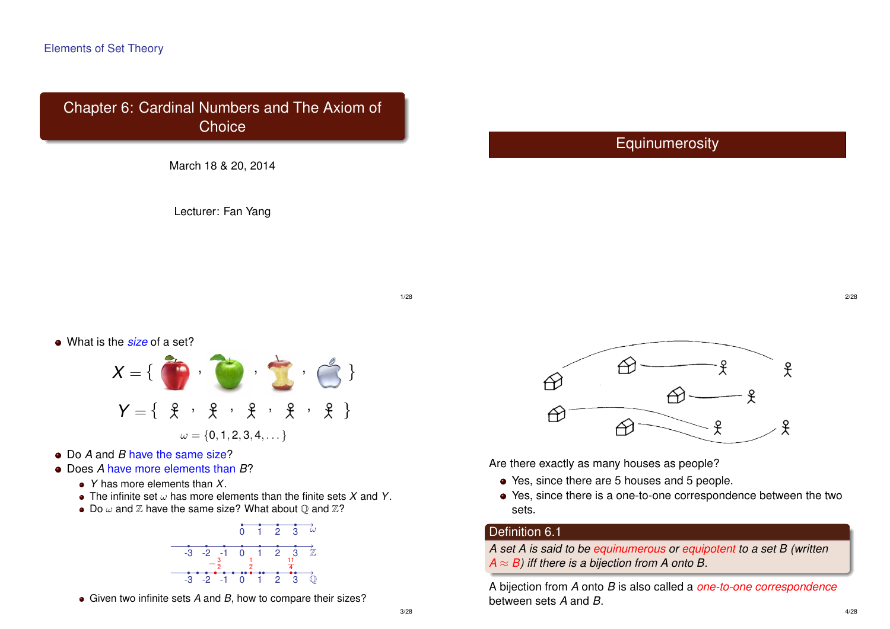#### Elements of Set Theory

# Chapter 6: Cardinal Numbers and The Axiom of **Choice**



Lecturer: Fan Yang

# **Equinumerosity**

1/28

What is the *size* of a set?



- Do *A* and *B* have the same size?
- Does *A* have more elements than *B*?
	- *Y* has more elements than *X*.
	- The infinite set ω has more elements than the finite sets *X* and *Y*.
	- Do  $\omega$  and  $\mathbb Z$  have the same size? What about  $\mathbb Q$  and  $\mathbb Z$ ?



Given two infinite sets *A* and *B*, how to compare their sizes?



Are there exactly as many houses as people?

- Yes, since there are 5 houses and 5 people.
- Yes, since there is a one-to-one correspondence between the two sets.

## Definition 6.1

*A set A is said to be equinumerous or equipotent to a set B (written*  $A \approx B$ ) iff there is a bijection from A onto B.

A bijection from *A* onto *B* is also called a *one-to-one correspondence* between sets *A* and *B*.

2/28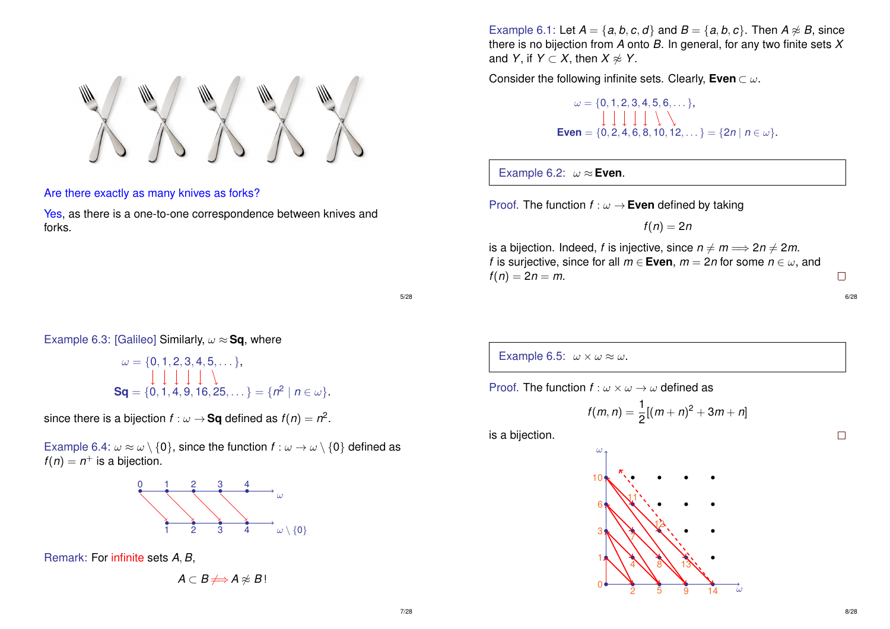Are there exactly as many knives as forks?

Yes, as there is a one-to-one correspondence between knives and forks.

Example 6.1: Let  $A = \{a, b, c, d\}$  and  $B = \{a, b, c\}$ . Then  $A \not\approx B$ , since there is no bijection from *A* onto *B*. In general, for any two finite sets *X* and *Y*, if *Y*  $\subset$  *X*, then *X*  $\approx$  *Y*.

Consider the following infinite sets. Clearly, **Even** ⊂ ω.

 $\omega = \{0, 1, 2, 3, 4, 5, 6, \dots\},\$ **Even** = { $0, 2, 4, 6, 8, 10, 12, ...$ } = { $2n | n \in \omega$ }.

Example 6.2:  $\omega \approx$  **Even**.

Proof. The function  $f : \omega \to \mathsf{Even}$  defined by taking

 $f(n) = 2n$ 

is a bijection. Indeed, *f* is injective, since  $n \neq m \implies 2n \neq 2m$ . *f* is surjective, since for all  $m \in$  **Even**,  $m = 2n$  for some  $n \in \omega$ , and  $f(n) = 2n = m$ .

5/28

#### Example 6.3: [Galileo] Similarly,  $\omega \approx$  Sq, where

$$
\omega = \{0, 1, 2, 3, 4, 5, \dots\},\
$$
  
\n
$$
\downarrow \qquad \qquad \downarrow \qquad \downarrow \qquad \downarrow \qquad \downarrow \qquad \downarrow \qquad \downarrow
$$
  
\n
$$
\mathbf{Sq} = \{0, 1, 4, 9, 16, 25, \dots\} = \{n^2 \mid n \in \omega\}.
$$

since there is a bijection  $f:\omega\to$  Sq defined as  $f(n)=n^2.$ 

Example 6.4:  $\omega \approx \omega \setminus \{0\}$ , since the function  $f : \omega \to \omega \setminus \{0\}$  defined as  $f(n) = n^+$  is a bijection.



Remark: For infinite sets *A*, *B*,

 $A \subset B \nRightarrow A \not\approx B$ !

Example 6.5:  $\omega \times \omega \approx \omega$ .

Proof. The function  $f : \omega \times \omega \rightarrow \omega$  defined as

$$
f(m,n) = \frac{1}{2}[(m+n)^2 + 3m + n]
$$

is a bijection.



6/28

 $\Box$ 

 $\Box$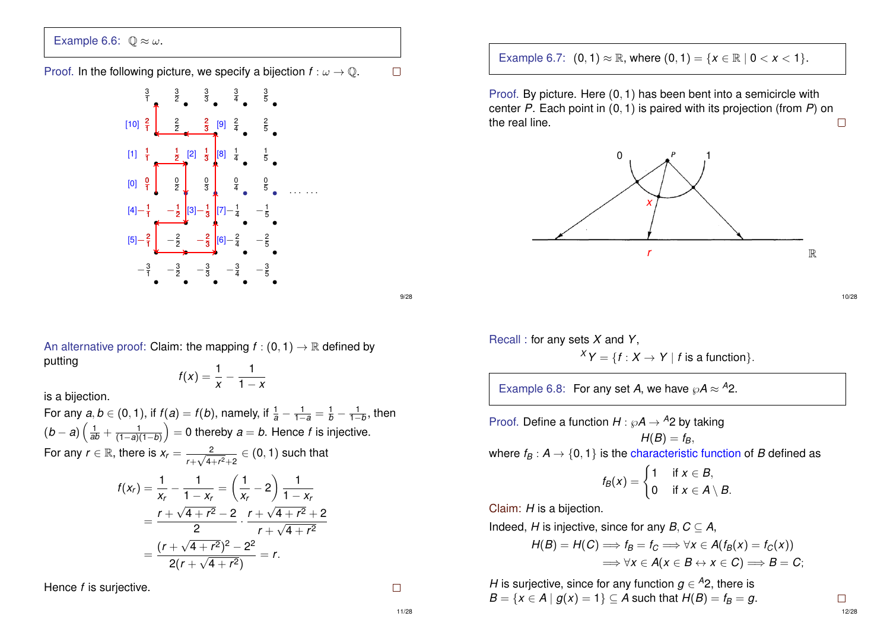# Example 6.6:  $\mathbb{O} \approx \omega$ .

#### Proof. In the following picture, we specify a bijection  $f: \omega \to \mathbb{Q}$ .  $\Box$



An alternative proof: Claim: the mapping  $f : (0, 1) \rightarrow \mathbb{R}$  defined by putting

$$
f(x)=\frac{1}{x}-\frac{1}{1-x}
$$

is a bijection.

For any  $a, b \in (0, 1)$ , if  $f(a) = f(b)$ , namely, if  $\frac{1}{a} - \frac{1}{1-a} = \frac{1}{b} - \frac{1}{1-b}$ , then  $(b-a)\left(\frac{1}{ab}+\frac{1}{(1-a)(1-b)}\right)=0$  thereby  $a=b$ . Hence  $f$  is injective. For any  $r \in \mathbb{R}$ , there is  $x_r = \frac{2}{\sqrt{2}}$  $\frac{2}{r+\sqrt{4+r^2}+2}\in(0,1)$  such that

$$
f(x_r) = \frac{1}{x_r} - \frac{1}{1 - x_r} = \left(\frac{1}{x_r} - 2\right) \frac{1}{1 - x_r}
$$
  
=  $\frac{r + \sqrt{4 + r^2} - 2}{2} \cdot \frac{r + \sqrt{4 + r^2} + 2}{r + \sqrt{4 + r^2}}$   
=  $\frac{(r + \sqrt{4 + r^2})^2 - 2^2}{2(r + \sqrt{4 + r^2})} = r.$ 

Hence *f* is surjective.

 $\Box$ 

Example 6.7:  $(0, 1) \approx \mathbb{R}$ , where  $(0, 1) = \{x \in \mathbb{R} \mid 0 < x < 1\}$ .

Proof. By picture. Here (0, 1) has been bent into a semicircle with center *P*. Each point in (0, 1) is paired with its projection (from *P*) on the real line.  $\Box$ 



9/28

Recall : for any sets *X* and *Y*,  $XY = \{f : X \rightarrow Y \mid f \text{ is a function}\}.$ 

Example 6.8: For any set A, we have  $\wp A \approx {}^{A}2$ .

Proof. Define a function  $H : \wp A \rightarrow {}^{A_2}$  by taking

 $H(B) = f_B$ 

where  $f_B: A \rightarrow \{0, 1\}$  is the characteristic function of *B* defined as

$$
f_B(x) = \begin{cases} 1 & \text{if } x \in B, \\ 0 & \text{if } x \in A \setminus B. \end{cases}
$$

Claim: *H* is a bijection.

Indeed, *H* is injective, since for any *B*,  $C \subset A$ ,

$$
H(B) = H(C) \Longrightarrow f_B = f_C \Longrightarrow \forall x \in A(f_B(x) = f_C(x))
$$
  

$$
\Longrightarrow \forall x \in A(x \in B \leftrightarrow x \in C) \Longrightarrow B = C;
$$

*H* is surjective, since for any function  $g \in A$ 2, there is *B* = {*x* ∈ *A* | *g*(*x*) = 1} ⊆ *A* such that  $H(B) = f_B = g$ . 10/28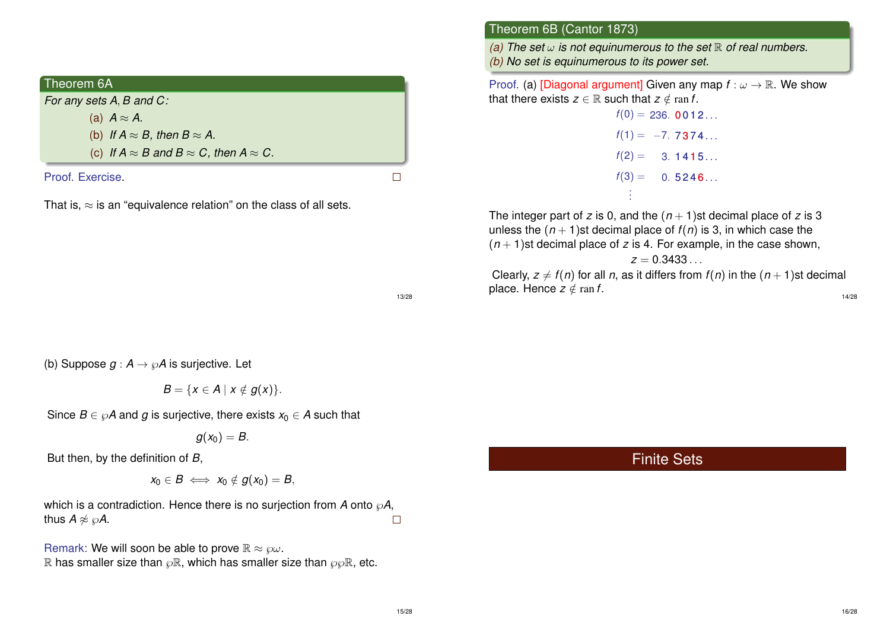| Theorem 6A                                                    |  |
|---------------------------------------------------------------|--|
| For any sets A, B and C:                                      |  |
| (a) $A \approx A$ .                                           |  |
| (b) If $A \approx B$ , then $B \approx A$ .                   |  |
| (c) If $A \approx B$ and $B \approx C$ , then $A \approx C$ . |  |
| Proof. Exercise.                                              |  |

That is,  $\approx$  is an "equivalence relation" on the class of all sets.

### Theorem 6B (Cantor 1873)

*(a)* The set  $\omega$  *is not equinumerous to the set*  $\mathbb R$  *of real numbers. (b) No set is equinumerous to its power set.*

Proof. (a) [Diagonal argument] Given any map  $f: \omega \to \mathbb{R}$ . We show that there exists  $z \in \mathbb{R}$  such that  $z \notin \text{ran } f$ .

> $f(0) = 236.$  **0012...**  $f(1) = -7.7374...$  $f(2) = 3.1415...$  $f(3) = 0.5246...$ . . .

The integer part of *z* is 0, and the  $(n + 1)$ st decimal place of *z* is 3 unless the  $(n + 1)$ st decimal place of  $f(n)$  is 3, in which case the  $(n + 1)$ st decimal place of *z* is 4. For example, in the case shown,

$$
z=0.3433\ldots\,
$$

Clearly,  $z \neq f(n)$  for all *n*, as it differs from  $f(n)$  in the  $(n + 1)$ st decimal place. Hence  $z \notin \text{ran } f$ . 14/28

13/28

(b) Suppose  $q : A \rightarrow \mathcal{A}$  is surjective. Let

$$
B=\{x\in A\mid x\notin g(x)\}.
$$

Since  $B \in \wp A$  and g is surjective, there exists  $x_0 \in A$  such that

$$
g(x_0)=B.
$$

But then, by the definition of *B*,

$$
x_0\in B\iff x_0\notin g(x_0)=B,
$$

which is a contradiction. Hence there is no surjection from  $A$  onto  $\wp A$ , thus  $A \not\approx \wp A$ .  $\Box$ 

Remark: We will soon be able to prove  $\mathbb{R} \approx \wp \omega$ . R has smaller size than  $\wp \mathbb{R}$ , which has smaller size than  $\wp \wp \mathbb{R}$ , etc. Finite Sets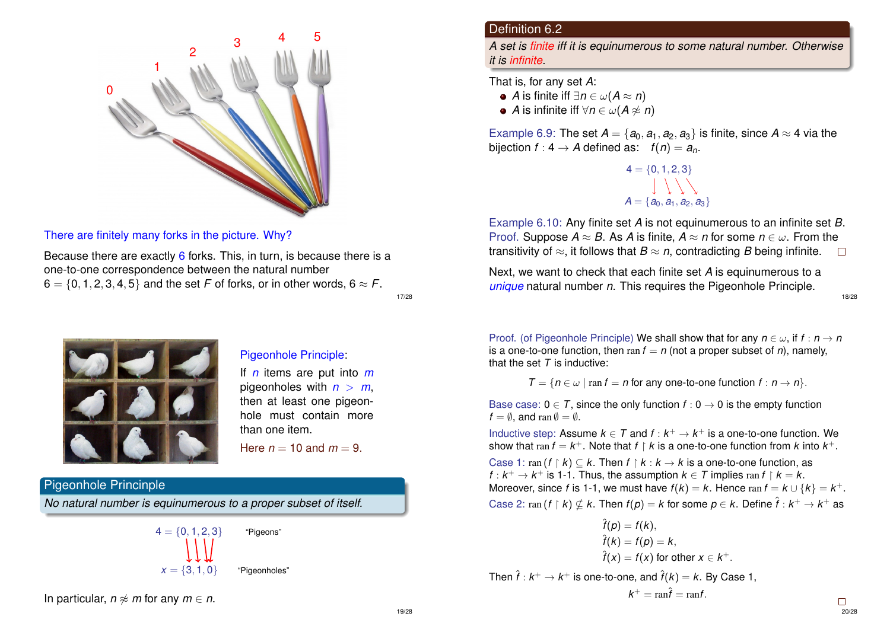

There are finitely many forks in the picture. Why?

Because there are exactly 6 forks. This, in turn, is because there is a one-to-one correspondence between the natural number  $6 = \{0, 1, 2, 3, 4, 5\}$  and the set *F* of forks, or in other words,  $6 \approx F$ .

17/28



#### Pigeonhole Principle:

If *n* items are put into *m* pigeonholes with  $n > m$ , then at least one pigeonhole must contain more than one item.

Here  $n = 10$  and  $m = 9$ .

#### Pigeonhole Princinple

*No natural number is equinumerous to a proper subset of itself.*



In particular,  $n \not\approx m$  for any  $m \in n$ .

### Definition 6.2

*A set is finite iff it is equinumerous to some natural number. Otherwise it is infinite.*

That is, for any set *A*:

- $\bullet$  *A* is finite iff ∃*n* ∈ ω(*A* ≈ *n*)
- $\bullet$  *A* is infinite iff  $\forall n \in \omega(A \not\approx n)$

Example 6.9: The set  $A = \{a_0, a_1, a_2, a_3\}$  is finite, since  $A \approx 4$  via the bijection  $f : 4 \rightarrow A$  defined as:  $f(n) = a_n$ .

> $4 = \{0, 1, 2, 3\}$  $A = \{a_0, a_1, a_2, a_3\}$

Example 6.10: Any finite set *A* is not equinumerous to an infinite set *B*. Proof. Suppose  $A \approx B$ . As *A* is finite,  $A \approx n$  for some  $n \in \omega$ . From the transitivity of  $\approx$ , it follows that  $B \approx n$ , contradicting *B* being infinite.  $\Box$ 

Next, we want to check that each finite set *A* is equinumerous to a *unique* natural number *n*. This requires the Pigeonhole Principle.

18/28

Proof. (of Pigeonhole Principle) We shall show that for any  $n \in \omega$ , if  $f : n \to n$ is a one-to-one function, then  $\text{ran } f = n$  (not a proper subset of *n*), namely, that the set  $T$  is inductive:

$$
T = \{ n \in \omega \mid \text{ran } f = n \text{ for any one-to-one function } f : n \to n \}.
$$

Base case:  $0 \in T$ , since the only function  $f : 0 \to 0$  is the empty function  $f = \emptyset$ , and ran  $\emptyset = \emptyset$ .

Inductive step: Assume  $k \in \mathcal{T}$  and  $f : k^+ \to k^+$  is a one-to-one function. We show that  $\text{ran } f = k^+$ . Note that  $f \restriction k$  is a one-to-one function from  $k$  into  $k^+$ .

Case 1: ran  $(f \upharpoonright k) \subseteq k$ . Then  $f \upharpoonright k : k \to k$  is a one-to-one function, as *f* :  $k^+ \rightarrow k^+$  is 1-1. Thus, the assumption  $k \in \mathcal{T}$  implies ran  $f \restriction k = k$ . Moreover, since *f* is 1-1, we must have  $f(k) = k$ . Hence ran  $f = k \cup \{k\} = k^{+}$ . Case 2:  $\text{ran}(f \upharpoonright k) \nsubseteq k$ . Then  $f(p) = k$  for some  $p \in k$ . Define  $\hat{f} : k^+ \to k^+$  as

$$
\hat{f}(p) = f(k),
$$
  
\n
$$
\hat{f}(k) = f(p) = k,
$$
  
\n
$$
\hat{f}(x) = f(x) \text{ for other } x \in k^+.
$$
  
\nThen  $\hat{f}: k^+ \to k^+$  is one-to-one, and  $\hat{f}(k) = k$ . By Case 1,

$$
k^+ = \operatorname{ran} \hat{f} = \operatorname{ran} f.
$$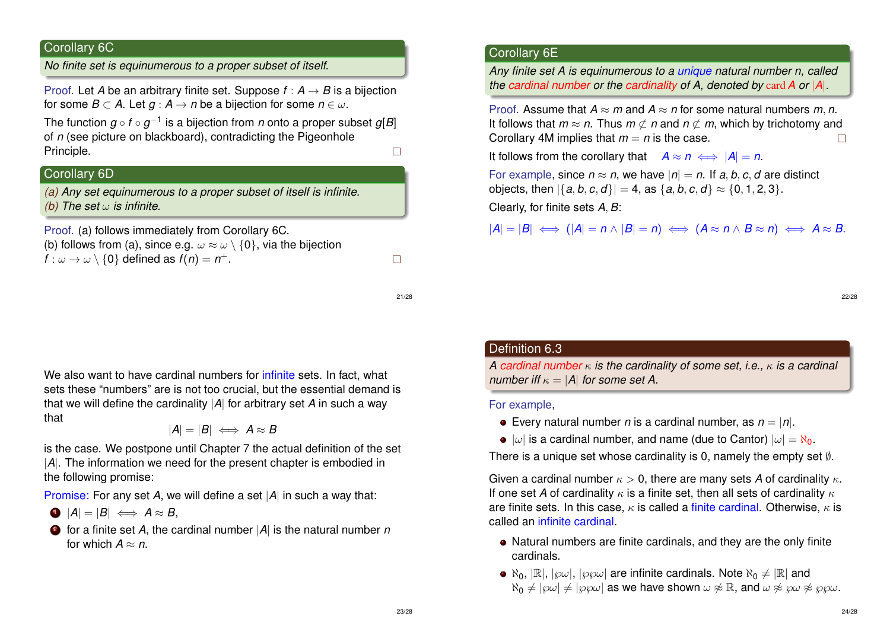# Corollary 6C

*No finite set is equinumerous to a proper subset of itself.*

Proof. Let *A* be an arbitrary finite set. Suppose  $f : A \rightarrow B$  is a bijection for some  $B \subset A$ . Let  $g : A \to n$  be a bijection for some  $n \in \omega$ .

The function *g* ◦ *f* ◦ *g* −1 is a bijection from *n* onto a proper subset *g*[*B*] of *n* (see picture on blackboard), contradicting the Pigeonhole Principle.  $\Box$ 

# Corollary 6D

*(a) Any set equinumerous to a proper subset of itself is infinite. (b) The set* ω *is infinite.*

Proof. (a) follows immediately from Corollary 6C. (b) follows from (a), since e.g.  $\omega \approx \omega \setminus \{0\}$ , via the bijection  $f: \omega \to \omega \setminus \{0\}$  defined as  $f(n) = n^+.$ 

21/28

 $\Box$ 

We also want to have cardinal numbers for infinite sets. In fact, what sets these "numbers" are is not too crucial, but the essential demand is that we will define the cardinality |*A*| for arbitrary set *A* in such a way that

$$
|A|=|B|\iff A\approx B
$$

is the case. We postpone until Chapter 7 the actual definition of the set |*A*|. The information we need for the present chapter is embodied in the following promise:

Promise: For any set *A*, we will define a set |*A*| in such a way that:

$$
A = |B| \iff A \approx B,
$$

<sup>2</sup> for a finite set *A*, the cardinal number |*A*| is the natural number *n* for which  $A \approx n$ .

# Corollary 6E

*Any finite set A is equinumerous to a unique natural number n, called the cardinal number or the cardinality of A, denoted by* card*A or* |*A*|*.*

Proof. Assume that  $A \approx m$  and  $A \approx n$  for some natural numbers m, n, It follows that  $m \approx n$ . Thus  $m \not\subset n$  and  $n \not\subset m$ , which by trichotomy and Corollary 4M implies that  $m = n$  is the case.  $\Box$ 

It follows from the corollary that  $A \approx n \iff |A| = n$ .

For example, since  $n \approx n$ , we have  $|n| = n$ . If a, b, c, d are distinct objects, then  $|\{a, b, c, d\}| = 4$ , as  $\{a, b, c, d\} \approx \{0, 1, 2, 3\}.$ 

Clearly, for finite sets *A*, *B*:

 $|A| = |B| \iff (|A| = n \land |B| = n) \iff (A \approx n \land B \approx n) \iff A \approx B.$ 

22/28

#### Definition 6.3

*A cardinal number* κ *is the cardinality of some set, i.e.,* κ *is a cardinal number iff*  $\kappa = |A|$  *for some set A.* 

For example,

 $\bullet$  Every natural number *n* is a cardinal number, as  $n = |n|$ .

 $|w|$  is a cardinal number, and name (due to Cantor)  $|w| = \aleph_0$ .

There is a unique set whose cardinality is 0, namely the empty set  $\emptyset$ .

Given a cardinal number  $\kappa > 0$ , there are many sets A of cardinality  $\kappa$ . If one set *A* of cardinality  $\kappa$  is a finite set, then all sets of cardinality  $\kappa$ are finite sets. In this case,  $\kappa$  is called a finite cardinal. Otherwise,  $\kappa$  is called an infinite cardinal.

- Natural numbers are finite cardinals, and they are the only finite cardinals.
- $\bullet$   $\aleph_0$ ,  $\mathbb{R}$ ,  $\left[\wp\omega\right]$ ,  $\left[\wp\omega\right]$  are infinite cardinals. Note  $\aleph_0 \neq \mathbb{R}$  and  $\aleph_0 \neq |\wp \omega| \neq |\wp \wp \omega|$  as we have shown  $\omega \not\approx \mathbb{R}$ , and  $\omega \not\approx \wp \omega \not\approx \wp \wp \omega$ .